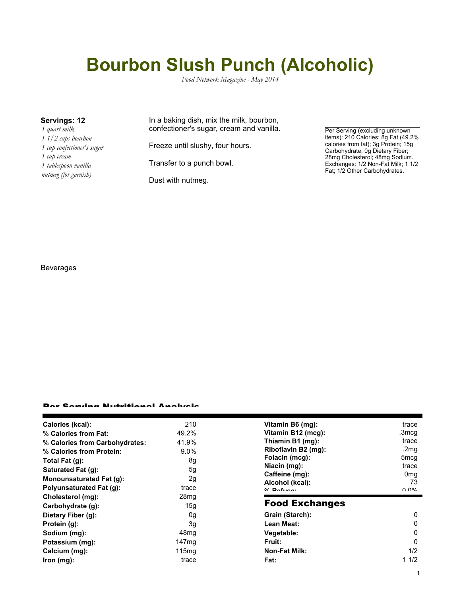# **Bourbon Slush Punch (Alcoholic)**

*Food Network Magazine - May 2014*

*1 quart milk 1 1/2 cups bourbon 1 cup confectioner's sugar 1 cup cream 1 tablespoon vanilla nutmeg (for garnish)*

### **Servings: 12** In a baking dish, mix the milk, bourbon, confectioner's sugar, cream and vanilla.

Freeze until slushy, four hours.

Transfer to a punch bowl.

Dust with nutmeg.

Per Serving (excluding unknown items): 210 Calories; 8g Fat (49.2% calories from fat); 3g Protein; 15g Carbohydrate; 0g Dietary Fiber; 28mg Cholesterol; 48mg Sodium. Exchanges: 1/2 Non-Fat Milk; 1 1/2 Fat; 1/2 Other Carbohydrates.

#### Beverages

#### ar Camrina Nutritianal Analysis

| Calories (kcal):                | 210               | Vitamin B6 (mq):                 | trace            |
|---------------------------------|-------------------|----------------------------------|------------------|
| % Calories from Fat:            | 49.2%             | Vitamin B12 (mcg):               | .3mcg            |
| % Calories from Carbohydrates:  | 41.9%             | Thiamin B1 (mg):                 | trace            |
| % Calories from Protein:        | $9.0\%$           | Riboflavin B2 (mg):              | .2mg             |
| Total Fat (g):                  | 8g                | Folacin (mcg):                   | 5 <sub>mcg</sub> |
| Saturated Fat (g):              | 5g                | Niacin (mg):                     | trace            |
| <b>Monounsaturated Fat (g):</b> | 2g                | Caffeine (mg):                   | 0 <sub>mg</sub>  |
| <b>Polyunsaturated Fat (g):</b> | trace             | Alcohol (kcal):<br>$0/2$ Dofusor | 73<br>በ በ%       |
| Cholesterol (mg):               | 28 <sub>mq</sub>  |                                  |                  |
| Carbohydrate (g):               | 15g               | <b>Food Exchanges</b>            |                  |
| Dietary Fiber (g):              | 0g                | Grain (Starch):                  | 0                |
| Protein (g):                    | 3g                | Lean Meat:                       | 0                |
| Sodium (mg):                    | 48 <sub>mg</sub>  | Vegetable:                       | 0                |
| Potassium (mg):                 | 147 <sub>mq</sub> | <b>Fruit:</b>                    | 0                |
| Calcium (mg):                   | 115 <sub>mq</sub> | <b>Non-Fat Milk:</b>             | 1/2              |
| lron (mg):                      | trace             | Fat:                             | 11/2             |
|                                 |                   |                                  |                  |